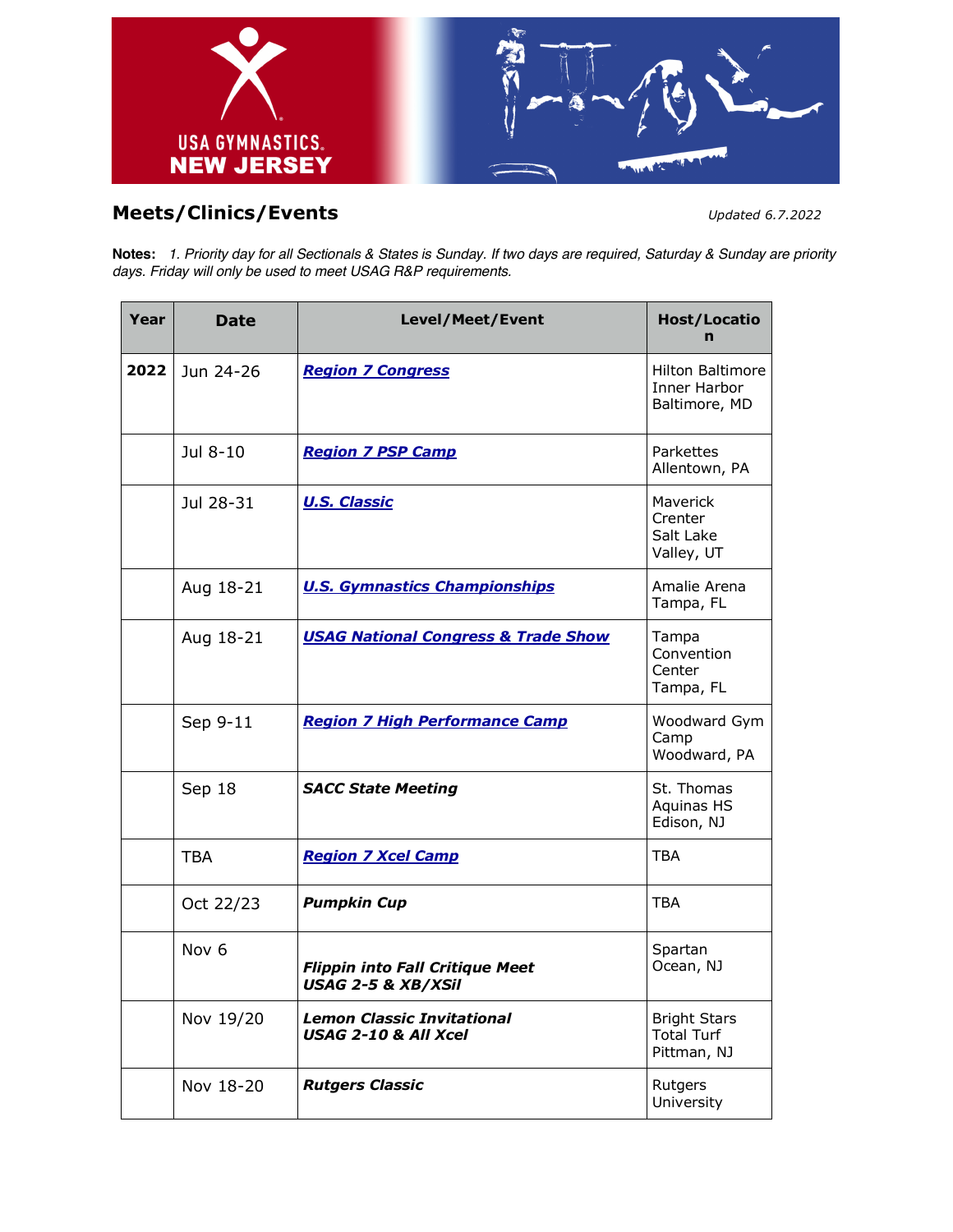

## **Meets/Clinics/Events** *Updated 6.7.2022*

Notes: 1. Priority day for all Sectionals & States is Sunday. If two days are required, Saturday & Sunday are priority *days. Friday will only be used to meet USAG R&P requirements.*

| Year | <b>Date</b>      | Level/Meet/Event                                                        | <b>Host/Locatio</b><br>n                                 |
|------|------------------|-------------------------------------------------------------------------|----------------------------------------------------------|
| 2022 | Jun 24-26        | <b>Region 7 Congress</b>                                                | <b>Hilton Baltimore</b><br>Inner Harbor<br>Baltimore, MD |
|      | Jul 8-10         | <b>Region 7 PSP Camp</b>                                                | Parkettes<br>Allentown, PA                               |
|      | Jul 28-31        | <b>U.S. Classic</b>                                                     | Maverick<br>Crenter<br>Salt Lake<br>Valley, UT           |
|      | Aug 18-21        | <b>U.S. Gymnastics Championships</b>                                    | Amalie Arena<br>Tampa, FL                                |
|      | Aug 18-21        | <b>USAG National Congress &amp; Trade Show</b>                          | Tampa<br>Convention<br>Center<br>Tampa, FL               |
|      | Sep 9-11         | <b>Region 7 High Performance Camp</b>                                   | Woodward Gym<br>Camp<br>Woodward, PA                     |
|      | Sep 18           | <b>SACC State Meeting</b>                                               | St. Thomas<br>Aquinas HS<br>Edison, NJ                   |
|      | <b>TBA</b>       | <b>Region 7 Xcel Camp</b>                                               | <b>TBA</b>                                               |
|      | Oct 22/23        | <b>Pumpkin Cup</b>                                                      | <b>TBA</b>                                               |
|      | Nov <sub>6</sub> | <b>Flippin into Fall Critique Meet</b><br><b>USAG 2-5 &amp; XB/XSil</b> | Spartan<br>Ocean, NJ                                     |
|      | Nov 19/20        | <b>Lemon Classic Invitational</b><br><b>USAG 2-10 &amp; All Xcel</b>    | <b>Bright Stars</b><br><b>Total Turf</b><br>Pittman, NJ  |
|      | Nov 18-20        | <b>Rutgers Classic</b>                                                  | Rutgers<br>University                                    |